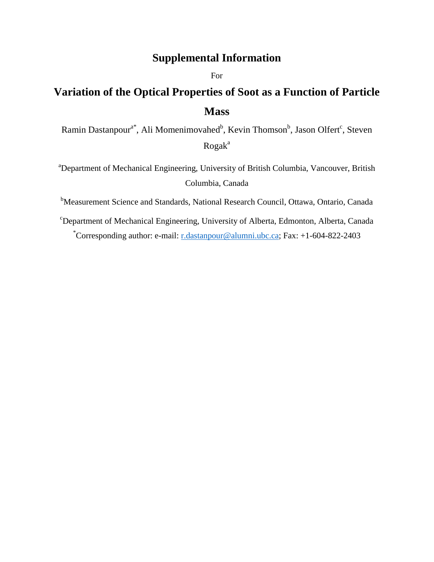## **Supplemental Information**

For

# **Variation of the Optical Properties of Soot as a Function of Particle Mass**

Ramin Dastanpour<sup>a\*</sup>, Ali Momenimovahed<sup>b</sup>, Kevin Thomson<sup>b</sup>, Jason Olfert<sup>c</sup>, Steven  $Rogak<sup>a</sup>$ 

<sup>a</sup>Department of Mechanical Engineering, University of British Columbia, Vancouver, British Columbia, Canada

<sup>b</sup>Measurement Science and Standards, National Research Council, Ottawa, Ontario, Canada

<sup>c</sup>Department of Mechanical Engineering, University of Alberta, Edmonton, Alberta, Canada \*Corresponding author: e-mail: [r.dastanpour@alumni.ubc.ca;](mailto:r.dastanpour@alumni.ubc.ca) Fax: +1-604-822-2403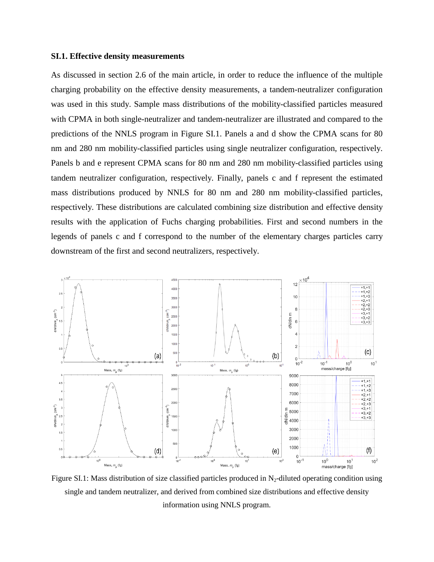#### **SI.1. Effective density measurements**

As discussed in section 2.6 of the main article, in order to reduce the influence of the multiple charging probability on the effective density measurements, a tandem-neutralizer configuration was used in this study. Sample mass distributions of the mobility-classified particles measured with CPMA in both single-neutralizer and tandem-neutralizer are illustrated and compared to the predictions of the NNLS program in Figure SI.1. Panels a and d show the CPMA scans for 80 nm and 280 nm mobility-classified particles using single neutralizer configuration, respectively. Panels b and e represent CPMA scans for 80 nm and 280 nm mobility-classified particles using tandem neutralizer configuration, respectively. Finally, panels c and f represent the estimated mass distributions produced by NNLS for 80 nm and 280 nm mobility-classified particles, respectively. These distributions are calculated combining size distribution and effective density results with the application of Fuchs charging probabilities. First and second numbers in the legends of panels c and f correspond to the number of the elementary charges particles carry downstream of the first and second neutralizers, respectively.



Figure SI.1: Mass distribution of size classified particles produced in  $N_2$ -diluted operating condition using single and tandem neutralizer, and derived from combined size distributions and effective density information using NNLS program.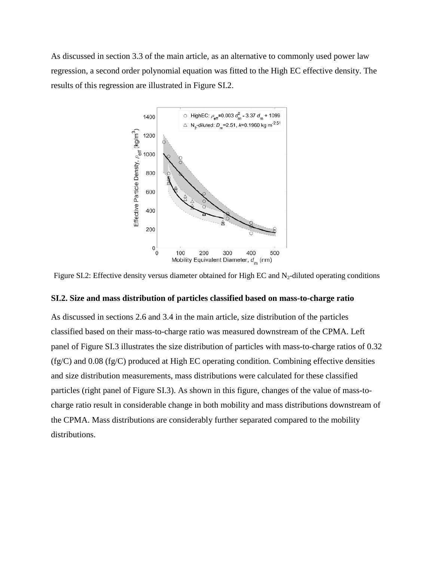As discussed in section 3.3 of the main article, as an alternative to commonly used power law regression, a second order polynomial equation was fitted to the High EC effective density. The results of this regression are illustrated in Figure SI.2.



Figure SI.2: Effective density versus diameter obtained for High EC and  $N_2$ -diluted operating conditions

#### **SI.2. Size and mass distribution of particles classified based on mass-to-charge ratio**

As discussed in sections 2.6 and 3.4 in the main article, size distribution of the particles classified based on their mass-to-charge ratio was measured downstream of the CPMA. Left panel of Figure SI.3 illustrates the size distribution of particles with mass-to-charge ratios of 0.32  $(fg/C)$  and 0.08  $(fg/C)$  produced at High EC operating condition. Combining effective densities and size distribution measurements, mass distributions were calculated for these classified particles (right panel of Figure SI.3). As shown in this figure, changes of the value of mass-tocharge ratio result in considerable change in both mobility and mass distributions downstream of the CPMA. Mass distributions are considerably further separated compared to the mobility distributions.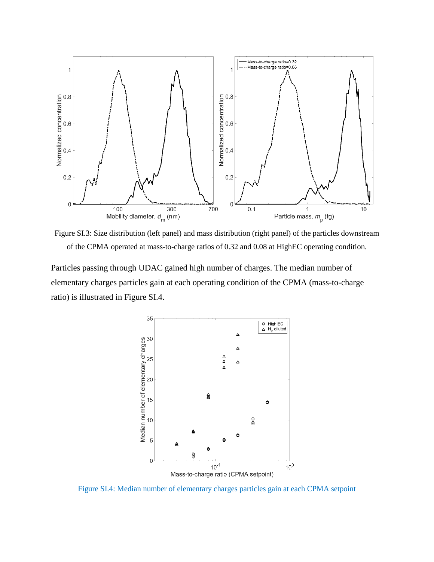

Figure SI.3: Size distribution (left panel) and mass distribution (right panel) of the particles downstream of the CPMA operated at mass-to-charge ratios of 0.32 and 0.08 at HighEC operating condition.

Particles passing through UDAC gained high number of charges. The median number of elementary charges particles gain at each operating condition of the CPMA (mass-to-charge ratio) is illustrated in Figure SI.4.



Figure SI.4: Median number of elementary charges particles gain at each CPMA setpoint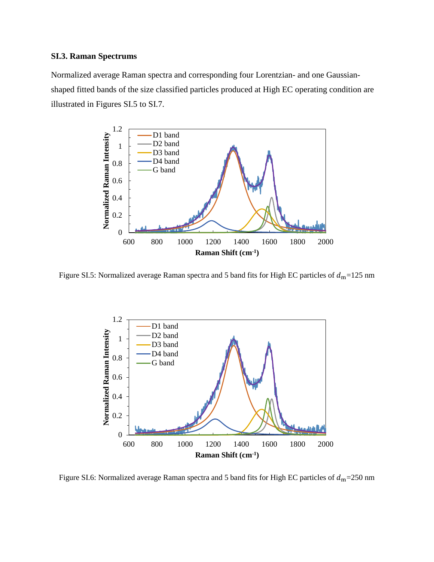### **SI.3. Raman Spectrums**

Normalized average Raman spectra and corresponding four Lorentzian- and one Gaussianshaped fitted bands of the size classified particles produced at High EC operating condition are illustrated in Figures SI.5 to SI.7.



Figure SI.5: Normalized average Raman spectra and 5 band fits for High EC particles of  $d_m$ =125 nm



Figure SI.6: Normalized average Raman spectra and 5 band fits for High EC particles of  $d_m$ =250 nm